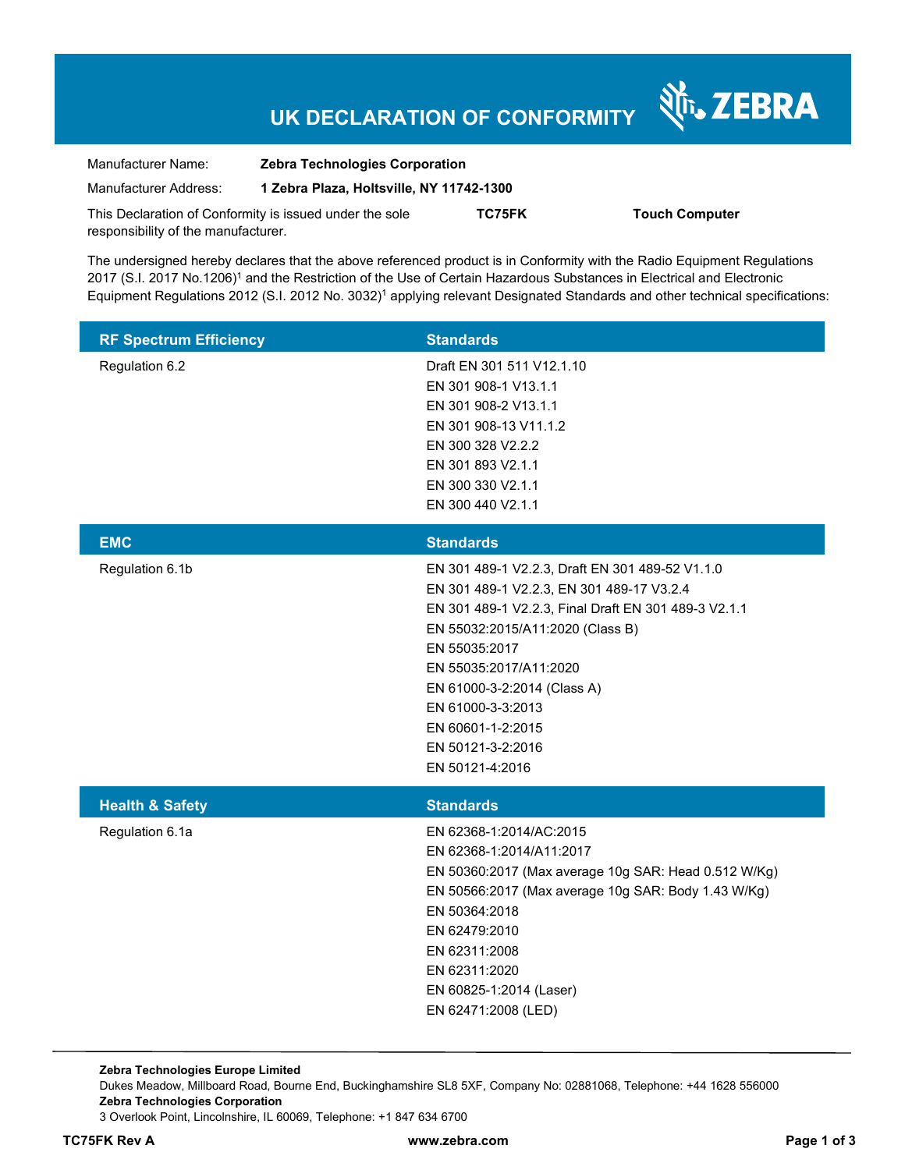# **UK DECLARATION OF CONFORMITY**

Nr. ZEBRA

| Manufacturer Name:                                      | <b>Zebra Technologies Corporation</b>    |        |                       |
|---------------------------------------------------------|------------------------------------------|--------|-----------------------|
| Manufacturer Address:                                   | 1 Zebra Plaza, Holtsville, NY 11742-1300 |        |                       |
| This Declaration of Conformity is issued under the sole |                                          | TC75FK | <b>Touch Computer</b> |
| responsibility of the manufacturer.                     |                                          |        |                       |

The undersigned hereby declares that the above referenced product is in Conformity with the Radio Equipment Regulations 2017 (S.I. 2017 No.1206)<sup>1</sup> and the Restriction of the Use of Certain Hazardous Substances in Electrical and Electronic Equipment Regulations 2012 (S.I. 2012 No. 3032)<sup>1</sup> applying relevant Designated Standards and other technical specifications:

| <b>RF Spectrum Efficiency</b> | <b>Standards</b>                                                                                                                                                                                                                                                                                                                                     |
|-------------------------------|------------------------------------------------------------------------------------------------------------------------------------------------------------------------------------------------------------------------------------------------------------------------------------------------------------------------------------------------------|
| Regulation 6.2                | Draft EN 301 511 V12.1.10<br>EN 301 908-1 V13.1.1<br>EN 301 908-2 V13.1.1<br>EN 301 908-13 V11.1.2<br>EN 300 328 V2.2.2<br>EN 301 893 V2.1.1<br>EN 300 330 V2.1.1<br>EN 300 440 V2.1.1                                                                                                                                                               |
| <b>EMC</b>                    | <b>Standards</b>                                                                                                                                                                                                                                                                                                                                     |
| Regulation 6.1b               | EN 301 489-1 V2.2.3, Draft EN 301 489-52 V1.1.0<br>EN 301 489-1 V2.2.3, EN 301 489-17 V3.2.4<br>EN 301 489-1 V2.2.3, Final Draft EN 301 489-3 V2.1.1<br>EN 55032:2015/A11:2020 (Class B)<br>EN 55035:2017<br>EN 55035:2017/A11:2020<br>EN 61000-3-2:2014 (Class A)<br>EN 61000-3-3:2013<br>EN 60601-1-2:2015<br>EN 50121-3-2:2016<br>EN 50121-4:2016 |
| <b>Health &amp; Safety</b>    | <b>Standards</b>                                                                                                                                                                                                                                                                                                                                     |
| Regulation 6.1a               | EN 62368-1:2014/AC:2015<br>EN 62368-1:2014/A11:2017<br>EN 50360:2017 (Max average 10g SAR: Head 0.512 W/Kg)<br>EN 50566:2017 (Max average 10g SAR: Body 1.43 W/Kg)<br>EN 50364:2018<br>EN 62479:2010<br>EN 62311:2008<br>EN 62311:2020<br>EN 60825-1:2014 (Laser)<br>EN 62471:2008 (LED)                                                             |

**Zebra Technologies Europe Limited**  Dukes Meadow, Millboard Road, Bourne End, Buckinghamshire SL8 5XF, Company No: 02881068, Telephone: +44 1628 556000 **Zebra Technologies Corporation**  3 Overlook Point, Lincolnshire, IL 60069, Telephone: +1 847 634 6700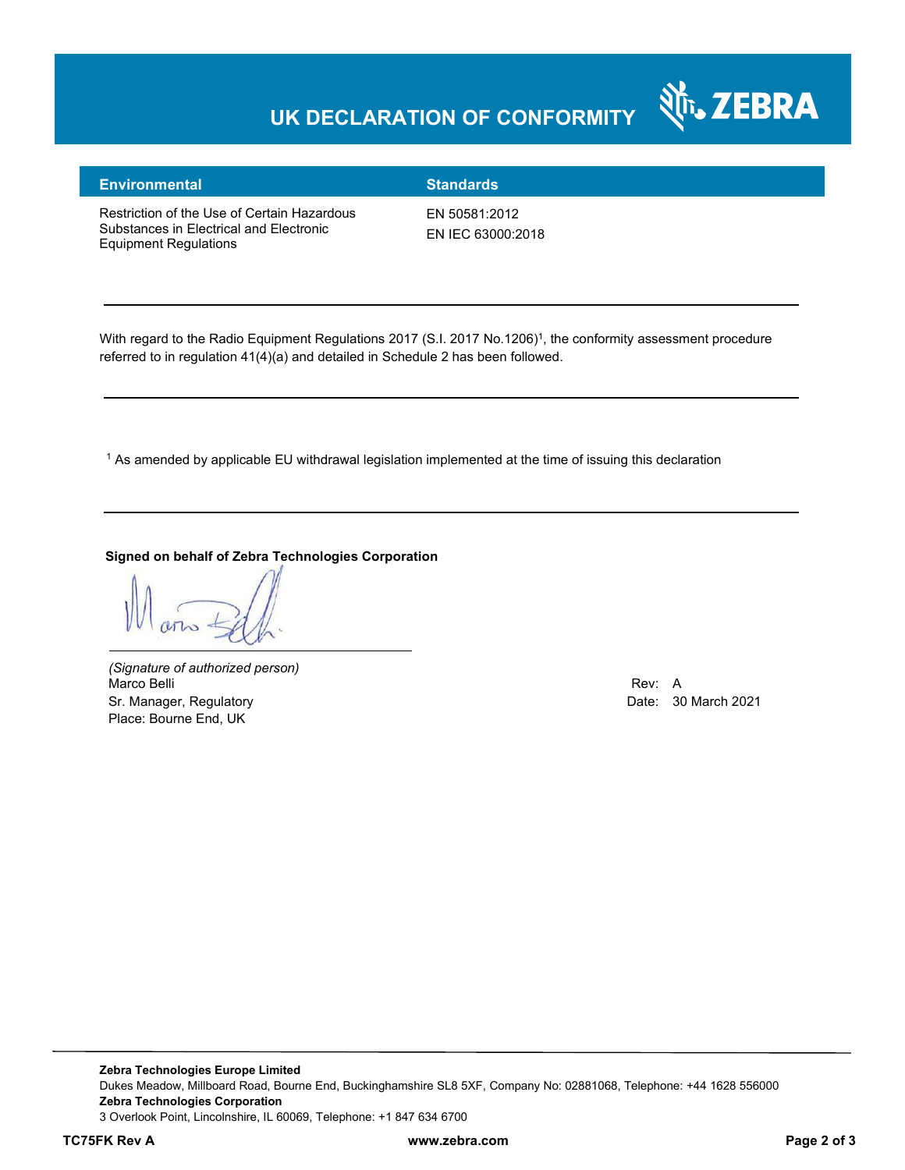# **UK DECLARATION OF CONFORMITY**



### **Environmental Standards**

Restriction of the Use of Certain Hazardous Substances in Electrical and Electronic Equipment Regulations

EN 50581:2012 EN IEC 63000:2018

With regard to the Radio Equipment Regulations 2017 (S.I. 2017 No.1206)<sup>1</sup>, the conformity assessment procedure referred to in regulation 41(4)(a) and detailed in Schedule 2 has been followed.

 $^{\rm 1}$  As amended by applicable EU withdrawal legislation implemented at the time of issuing this declaration

**Signed on behalf of Zebra Technologies Corporation** 

*(Signature of authorized person)* Marco Belli Rev: A Sr. Manager, Regulatory **Date: 30 March 2021** Place: Bourne End, UK